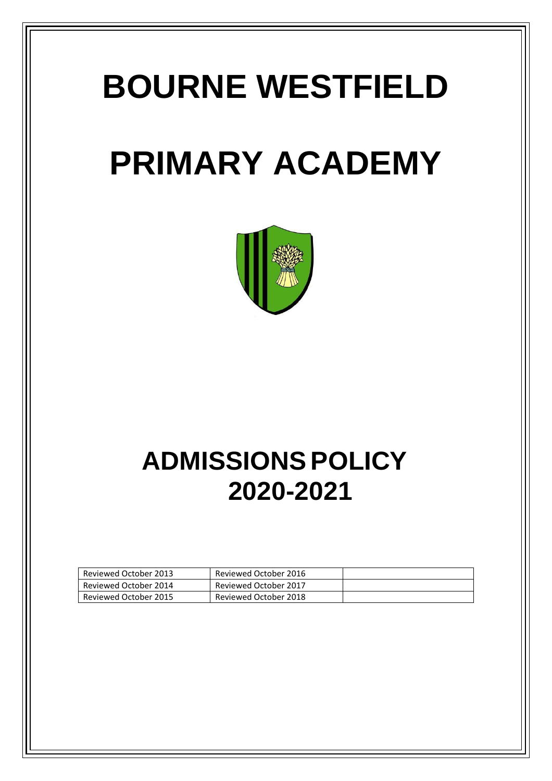# **BOURNE WESTFIELD**

## **PRIMARY ACADEMY**



## **ADMISSIONS POLICY 2020-2021**

| Reviewed October 2013 | Reviewed October 2016 |  |
|-----------------------|-----------------------|--|
| Reviewed October 2014 | Reviewed October 2017 |  |
| Reviewed October 2015 | Reviewed October 2018 |  |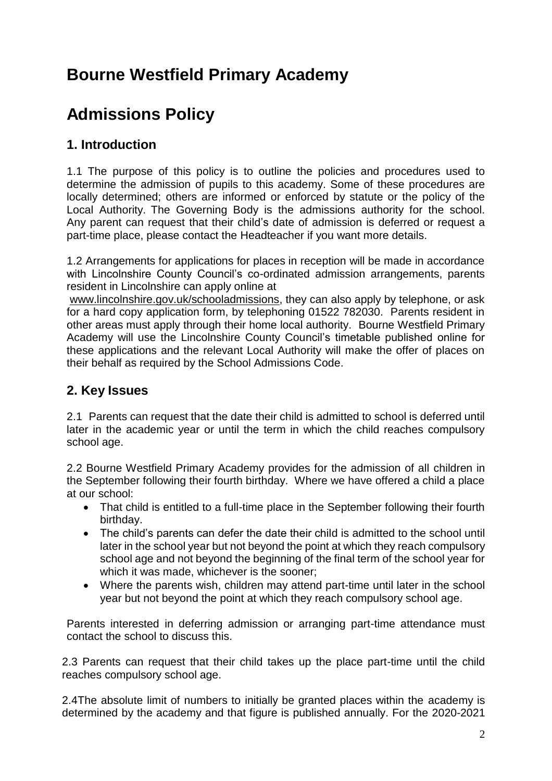### **Bourne Westfield Primary Academy**

### **Admissions Policy**

#### **1. Introduction**

1.1 The purpose of this policy is to outline the policies and procedures used to determine the admission of pupils to this academy. Some of these procedures are locally determined; others are informed or enforced by statute or the policy of the Local Authority. The Governing Body is the admissions authority for the school. Any parent can request that their child's date of admission is deferred or request a part-time place, please contact the Headteacher if you want more details.

1.2 Arrangements for applications for places in reception will be made in accordance with Lincolnshire County Council's co-ordinated admission arrangements, parents resident in Lincolnshire can apply online at

[www.lincolnshire.gov.uk/schooladmissions,](http://www.lincolnshire.gov.uk/schooladmissions) they can also apply by telephone, or ask for a hard copy application form, by telephoning 01522 782030. Parents resident in other areas must apply through their home local authority. Bourne Westfield Primary Academy will use the Lincolnshire County Council's timetable published online for these applications and the relevant Local Authority will make the offer of places on their behalf as required by the School Admissions Code.

#### **2. Key Issues**

2.1 Parents can request that the date their child is admitted to school is deferred until later in the academic year or until the term in which the child reaches compulsory school age.

2.2 Bourne Westfield Primary Academy provides for the admission of all children in the September following their fourth birthday. Where we have offered a child a place at our school:

- That child is entitled to a full-time place in the September following their fourth birthday.
- The child's parents can defer the date their child is admitted to the school until later in the school year but not beyond the point at which they reach compulsory school age and not beyond the beginning of the final term of the school year for which it was made, whichever is the sooner;
- Where the parents wish, children may attend part-time until later in the school year but not beyond the point at which they reach compulsory school age.

Parents interested in deferring admission or arranging part-time attendance must contact the school to discuss this.

2.3 Parents can request that their child takes up the place part-time until the child reaches compulsory school age.

2.4The absolute limit of numbers to initially be granted places within the academy is determined by the academy and that figure is published annually. For the 2020-2021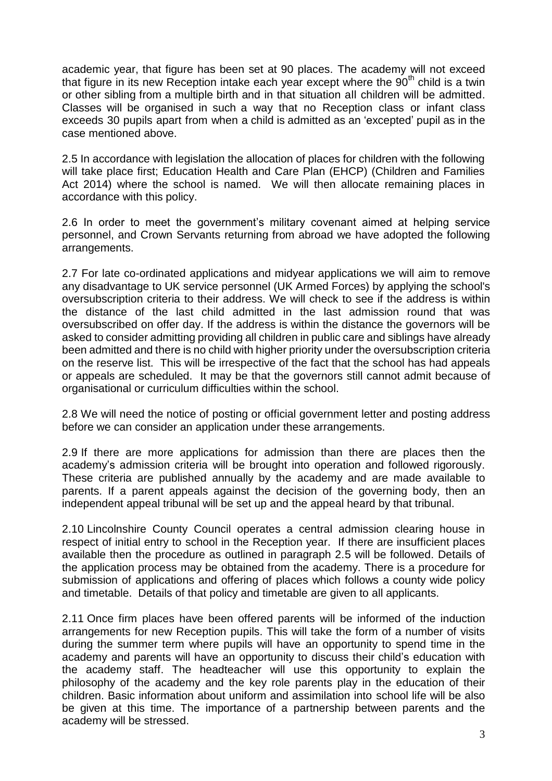academic year, that figure has been set at 90 places. The academy will not exceed that figure in its new Reception intake each year except where the  $90<sup>th</sup>$  child is a twin or other sibling from a multiple birth and in that situation all children will be admitted. Classes will be organised in such a way that no Reception class or infant class exceeds 30 pupils apart from when a child is admitted as an 'excepted' pupil as in the case mentioned above.

2.5 In accordance with legislation the allocation of places for children with the following will take place first; Education Health and Care Plan (EHCP) (Children and Families Act 2014) where the school is named. We will then allocate remaining places in accordance with this policy.

2.6 In order to meet the government's military covenant aimed at helping service personnel, and Crown Servants returning from abroad we have adopted the following arrangements.

2.7 For late co-ordinated applications and midyear applications we will aim to remove any disadvantage to UK service personnel (UK Armed Forces) by applying the school's oversubscription criteria to their address. We will check to see if the address is within the distance of the last child admitted in the last admission round that was oversubscribed on offer day. If the address is within the distance the governors will be asked to consider admitting providing all children in public care and siblings have already been admitted and there is no child with higher priority under the oversubscription criteria on the reserve list. This will be irrespective of the fact that the school has had appeals or appeals are scheduled. It may be that the governors still cannot admit because of organisational or curriculum difficulties within the school.

2.8 We will need the notice of posting or official government letter and posting address before we can consider an application under these arrangements.

2.9 If there are more applications for admission than there are places then the academy's admission criteria will be brought into operation and followed rigorously. These criteria are published annually by the academy and are made available to parents. If a parent appeals against the decision of the governing body, then an independent appeal tribunal will be set up and the appeal heard by that tribunal.

2.10 Lincolnshire County Council operates a central admission clearing house in respect of initial entry to school in the Reception year. If there are insufficient places available then the procedure as outlined in paragraph 2.5 will be followed. Details of the application process may be obtained from the academy. There is a procedure for submission of applications and offering of places which follows a county wide policy and timetable. Details of that policy and timetable are given to all applicants.

2.11 Once firm places have been offered parents will be informed of the induction arrangements for new Reception pupils. This will take the form of a number of visits during the summer term where pupils will have an opportunity to spend time in the academy and parents will have an opportunity to discuss their child's education with the academy staff. The headteacher will use this opportunity to explain the philosophy of the academy and the key role parents play in the education of their children. Basic information about uniform and assimilation into school life will be also be given at this time. The importance of a partnership between parents and the academy will be stressed.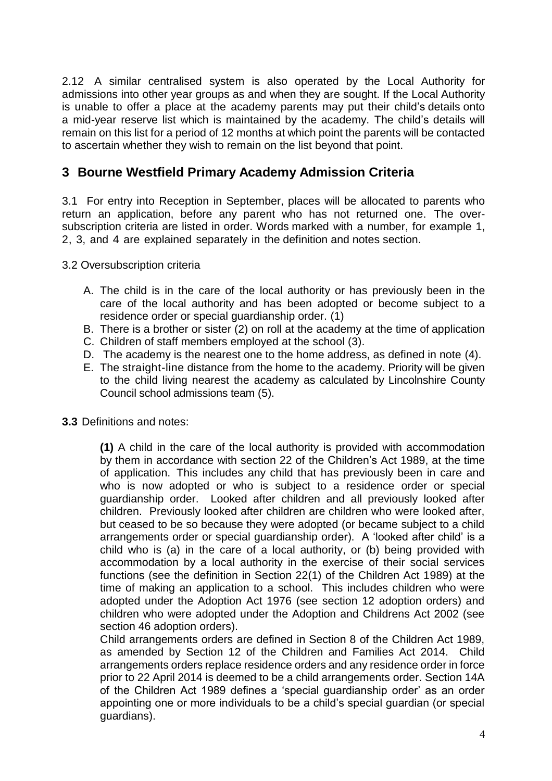2.12 A similar centralised system is also operated by the Local Authority for admissions into other year groups as and when they are sought. If the Local Authority is unable to offer a place at the academy parents may put their child's details onto a mid-year reserve list which is maintained by the academy. The child's details will remain on this list for a period of 12 months at which point the parents will be contacted to ascertain whether they wish to remain on the list beyond that point.

#### **3 Bourne Westfield Primary Academy Admission Criteria**

3.1 For entry into Reception in September, places will be allocated to parents who return an application, before any parent who has not returned one. The oversubscription criteria are listed in order. Words marked with a number, for example 1, 2, 3, and 4 are explained separately in the definition and notes section.

3.2 Oversubscription criteria

- A. The child is in the care of the local authority or has previously been in the care of the local authority and has been adopted or become subject to a residence order or special guardianship order. (1)
- B. There is a brother or sister (2) on roll at the academy at the time of application
- C. Children of staff members employed at the school (3).
- D. The academy is the nearest one to the home address, as defined in note (4).
- E. The straight-line distance from the home to the academy. Priority will be given to the child living nearest the academy as calculated by Lincolnshire County Council school admissions team (5).
- **3.3** Definitions and notes:

**(1)** A child in the care of the local authority is provided with accommodation by them in accordance with section 22 of the Children's Act 1989, at the time of application. This includes any child that has previously been in care and who is now adopted or who is subject to a residence order or special guardianship order. Looked after children and all previously looked after children. Previously looked after children are children who were looked after, but ceased to be so because they were adopted (or became subject to a child arrangements order or special guardianship order). A 'looked after child' is a child who is (a) in the care of a local authority, or (b) being provided with accommodation by a local authority in the exercise of their social services functions (see the definition in Section 22(1) of the Children Act 1989) at the time of making an application to a school. This includes children who were adopted under the Adoption Act 1976 (see section 12 adoption orders) and children who were adopted under the Adoption and Childrens Act 2002 (see section 46 adoption orders).

Child arrangements orders are defined in Section 8 of the Children Act 1989, as amended by Section 12 of the Children and Families Act 2014. Child arrangements orders replace residence orders and any residence order in force prior to 22 April 2014 is deemed to be a child arrangements order. Section 14A of the Children Act 1989 defines a 'special guardianship order' as an order appointing one or more individuals to be a child's special guardian (or special guardians).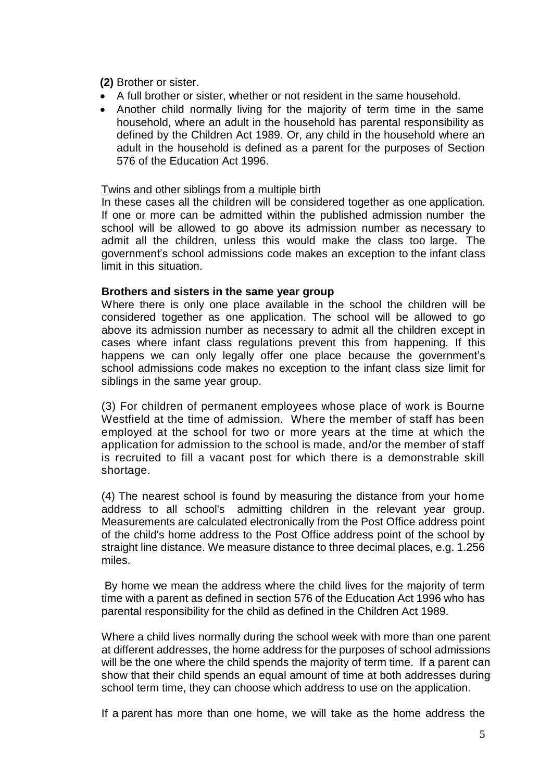#### **(2)** Brother or sister.

- A full brother or sister, whether or not resident in the same household.
- Another child normally living for the majority of term time in the same household, where an adult in the household has parental responsibility as defined by the Children Act 1989. Or, any child in the household where an adult in the household is defined as a parent for the purposes of Section 576 of the Education Act 1996.

#### Twins and other siblings from a multiple birth

In these cases all the children will be considered together as one application. If one or more can be admitted within the published admission number the school will be allowed to go above its admission number as necessary to admit all the children, unless this would make the class too large. The government's school admissions code makes an exception to the infant class limit in this situation.

#### **Brothers and sisters in the same year group**

Where there is only one place available in the school the children will be considered together as one application. The school will be allowed to go above its admission number as necessary to admit all the children except in cases where infant class regulations prevent this from happening. If this happens we can only legally offer one place because the government's school admissions code makes no exception to the infant class size limit for siblings in the same year group.

(3) For children of permanent employees whose place of work is Bourne Westfield at the time of admission. Where the member of staff has been employed at the school for two or more years at the time at which the application for admission to the school is made, and/or the member of staff is recruited to fill a vacant post for which there is a demonstrable skill shortage.

(4) The nearest school is found by measuring the distance from your home address to all school's admitting children in the relevant year group. Measurements are calculated electronically from the Post Office address point of the child's home address to the Post Office address point of the school by straight line distance. We measure distance to three decimal places, e.g. 1.256 miles.

By home we mean the address where the child lives for the majority of term time with a parent as defined in section 576 of the Education Act 1996 who has parental responsibility for the child as defined in the Children Act 1989.

Where a child lives normally during the school week with more than one parent at different addresses, the home address for the purposes of school admissions will be the one where the child spends the majority of term time. If a parent can show that their child spends an equal amount of time at both addresses during school term time, they can choose which address to use on the application.

If a parent has more than one home, we will take as the home address the